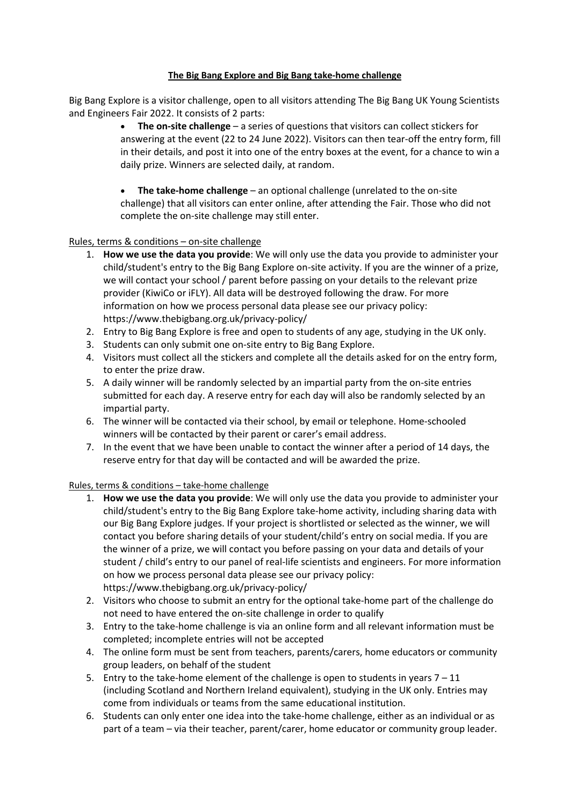## **The Big Bang Explore and Big Bang take-home challenge**

Big Bang Explore is a visitor challenge, open to all visitors attending The Big Bang UK Young Scientists and Engineers Fair 2022. It consists of 2 parts:

- **The on-site challenge** a series of questions that visitors can collect stickers for answering at the event (22 to 24 June 2022). Visitors can then tear-off the entry form, fill in their details, and post it into one of the entry boxes at the event, for a chance to win a daily prize. Winners are selected daily, at random.
- **The take-home challenge** an optional challenge (unrelated to the on-site challenge) that all visitors can enter online, after attending the Fair. Those who did not complete the on-site challenge may still enter.

Rules, terms & conditions – on-site challenge

- 1. **How we use the data you provide**: We will only use the data you provide to administer your child/student's entry to the Big Bang Explore on-site activity. If you are the winner of a prize, we will contact your school / parent before passing on your details to the relevant prize provider (KiwiCo or iFLY). All data will be destroyed following the draw. For more information on how we process personal data please see our privacy policy: https://www.thebigbang.org.uk/privacy-policy/
- 2. Entry to Big Bang Explore is free and open to students of any age, studying in the UK only.
- 3. Students can only submit one on-site entry to Big Bang Explore.
- 4. Visitors must collect all the stickers and complete all the details asked for on the entry form, to enter the prize draw.
- 5. A daily winner will be randomly selected by an impartial party from the on-site entries submitted for each day. A reserve entry for each day will also be randomly selected by an impartial party.
- 6. The winner will be contacted via their school, by email or telephone. Home-schooled winners will be contacted by their parent or carer's email address.
- 7. In the event that we have been unable to contact the winner after a period of 14 days, the reserve entry for that day will be contacted and will be awarded the prize.

Rules, terms & conditions – take-home challenge

- 1. **How we use the data you provide**: We will only use the data you provide to administer your child/student's entry to the Big Bang Explore take-home activity, including sharing data with our Big Bang Explore judges. If your project is shortlisted or selected as the winner, we will contact you before sharing details of your student/child's entry on social media. If you are the winner of a prize, we will contact you before passing on your data and details of your student / child's entry to our panel of real-life scientists and engineers. For more information on how we process personal data please see our privacy policy: https://www.thebigbang.org.uk/privacy-policy/
- 2. Visitors who choose to submit an entry for the optional take-home part of the challenge do not need to have entered the on-site challenge in order to qualify
- 3. Entry to the take-home challenge is via an online form and all relevant information must be completed; incomplete entries will not be accepted
- 4. The online form must be sent from teachers, parents/carers, home educators or community group leaders, on behalf of the student
- 5. Entry to the take-home element of the challenge is open to students in years  $7 11$ (including Scotland and Northern Ireland equivalent), studying in the UK only. Entries may come from individuals or teams from the same educational institution.
- 6. Students can only enter one idea into the take-home challenge, either as an individual or as part of a team – via their teacher, parent/carer, home educator or community group leader.